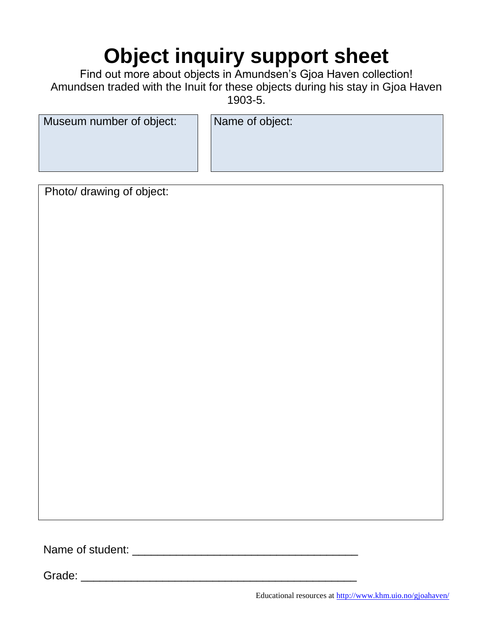## **Object inquiry support sheet**

Find out more about objects in Amundsen's Gjoa Haven collection! Amundsen traded with the Inuit for these objects during his stay in Gjoa Haven 1903-5.

| Name of object: |
|-----------------|
|                 |
|                 |
|                 |

<u> 1980 - Johann Barn, mars ann an t-Amhain Aonaich an t-Aonaich an t-Aonaich ann an t-Aonaich ann an t-Aonaich</u>

Photo/ drawing of object:

Name of student: \_\_\_\_\_\_\_\_\_\_\_\_\_\_\_\_\_\_\_\_\_\_\_\_\_\_\_\_\_\_\_\_\_\_\_\_

Grade: \_\_\_\_\_\_\_\_\_\_\_\_\_\_\_\_\_\_\_\_\_\_\_\_\_\_\_\_\_\_\_\_\_\_\_\_\_\_\_\_\_\_\_\_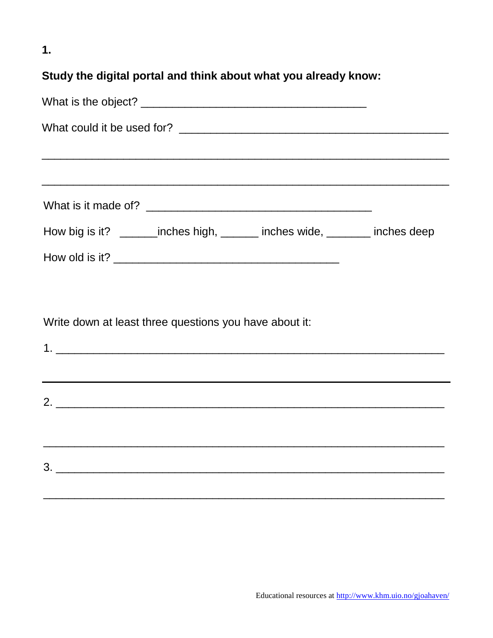$1.$ 

## Study the digital portal and think about what you already know:

| How big is it? _________inches high, ________ inches wide, _________ inches deep |  |
|----------------------------------------------------------------------------------|--|
|                                                                                  |  |
|                                                                                  |  |
| Write down at least three questions you have about it:                           |  |
|                                                                                  |  |
| ,我们也不会有什么。""我们的人,我们也不会有什么?""我们的人,我们也不会有什么?""我们的人,我们也不会有什么?""我们的人,我们也不会有什么?""我们的人 |  |
|                                                                                  |  |
|                                                                                  |  |
|                                                                                  |  |
|                                                                                  |  |
|                                                                                  |  |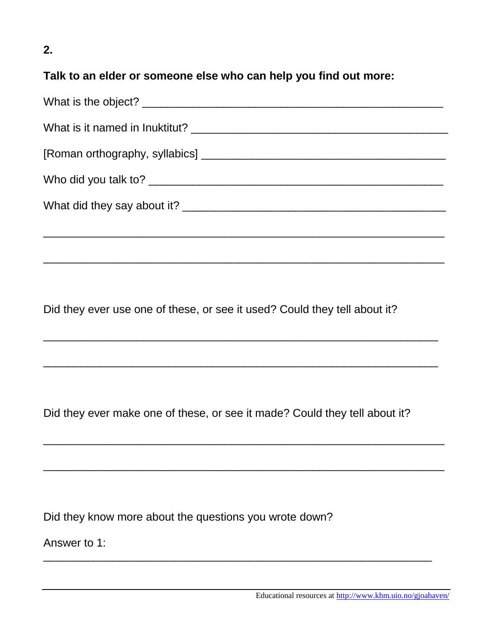## **2.**

## **Talk to an elder or someone else who can help you find out more:**

\_\_\_\_\_\_\_\_\_\_\_\_\_\_\_\_\_\_\_\_\_\_\_\_\_\_\_\_\_\_\_\_\_\_\_\_\_\_\_\_\_\_\_\_\_\_\_\_\_\_\_\_\_\_\_\_\_\_\_\_\_\_\_\_

\_\_\_\_\_\_\_\_\_\_\_\_\_\_\_\_\_\_\_\_\_\_\_\_\_\_\_\_\_\_\_\_\_\_\_\_\_\_\_\_\_\_\_\_\_\_\_\_\_\_\_\_\_\_\_\_\_\_\_\_\_\_\_

\_\_\_\_\_\_\_\_\_\_\_\_\_\_\_\_\_\_\_\_\_\_\_\_\_\_\_\_\_\_\_\_\_\_\_\_\_\_\_\_\_\_\_\_\_\_\_\_\_\_\_\_\_\_\_\_\_\_\_\_\_\_\_

\_\_\_\_\_\_\_\_\_\_\_\_\_\_\_\_\_\_\_\_\_\_\_\_\_\_\_\_\_\_\_\_\_\_\_\_\_\_\_\_\_\_\_\_\_\_\_\_\_\_\_\_\_\_\_\_\_\_\_\_\_\_\_\_

\_\_\_\_\_\_\_\_\_\_\_\_\_\_\_\_\_\_\_\_\_\_\_\_\_\_\_\_\_\_\_\_\_\_\_\_\_\_\_\_\_\_\_\_\_\_\_\_\_\_\_\_\_\_\_\_\_\_\_\_\_\_\_\_

\_\_\_\_\_\_\_\_\_\_\_\_\_\_\_\_\_\_\_\_\_\_\_\_\_\_\_\_\_\_\_\_\_\_\_\_\_\_\_\_\_\_\_\_\_\_\_\_\_\_\_\_\_\_\_\_\_\_\_\_\_\_

Did they ever use one of these, or see it used? Could they tell about it?

Did they ever make one of these, or see it made? Could they tell about it?

Did they know more about the questions you wrote down?

Answer to 1: